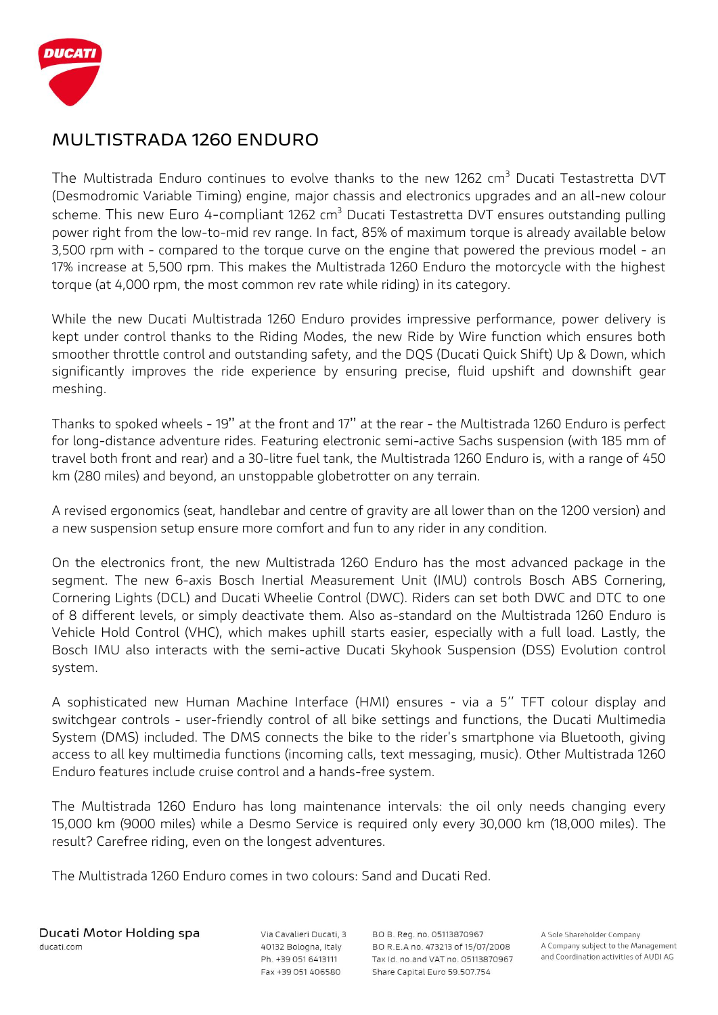

## **MULTISTRADA 1260 ENDURO**

The Multistrada Enduro continues to evolve thanks to the new 1262 cm<sup>3</sup> Ducati Testastretta DVT (Desmodromic Variable Timing) engine, major chassis and electronics upgrades and an all-new colour scheme. This new Euro 4-compliant 1262  $cm<sup>3</sup>$  Ducati Testastretta DVT ensures outstanding pulling power right from the low-to-mid rev range. In fact, 85% of maximum torque is already available below 3,500 rpm with - compared to the torque curve on the engine that powered the previous model - an 17% increase at 5,500 rpm. This makes the Multistrada 1260 Enduro the motorcycle with the highest torque (at 4,000 rpm, the most common rev rate while riding) in its category.

While the new Ducati Multistrada 1260 Enduro provides impressive performance, power delivery is kept under control thanks to the Riding Modes, the new Ride by Wire function which ensures both smoother throttle control and outstanding safety, and the DQS (Ducati Quick Shift) Up & Down, which significantly improves the ride experience by ensuring precise, fluid upshift and downshift gear meshing.

Thanks to spoked wheels - 19'' at the front and 17'' at the rear - the Multistrada 1260 Enduro is perfect for long-distance adventure rides. Featuring electronic semi-active Sachs suspension (with 185 mm of travel both front and rear) and a 30-litre fuel tank, the Multistrada 1260 Enduro is, with a range of 450 km (280 miles) and beyond, an unstoppable globetrotter on any terrain.

A revised ergonomics (seat, handlebar and centre of gravity are all lower than on the 1200 version) and a new suspension setup ensure more comfort and fun to any rider in any condition.

On the electronics front, the new Multistrada 1260 Enduro has the most advanced package in the segment. The new 6-axis Bosch Inertial Measurement Unit (IMU) controls Bosch ABS Cornering, Cornering Lights (DCL) and Ducati Wheelie Control (DWC). Riders can set both DWC and DTC to one of 8 different levels, or simply deactivate them. Also as-standard on the Multistrada 1260 Enduro is Vehicle Hold Control (VHC), which makes uphill starts easier, especially with a full load. Lastly, the Bosch IMU also interacts with the semi-active Ducati Skyhook Suspension (DSS) Evolution control system.

A sophisticated new Human Machine Interface (HMI) ensures - via a 5'' TFT colour display and switchgear controls - user-friendly control of all bike settings and functions, the Ducati Multimedia System (DMS) included. The DMS connects the bike to the rider's smartphone via Bluetooth, giving access to all key multimedia functions (incoming calls, text messaging, music). Other Multistrada 1260 Enduro features include cruise control and a hands-free system.

The Multistrada 1260 Enduro has long maintenance intervals: the oil only needs changing every 15,000 km (9000 miles) while a Desmo Service is required only every 30,000 km (18,000 miles). The result? Carefree riding, even on the longest adventures.

The Multistrada 1260 Enduro comes in two colours: Sand and Ducati Red.

Ducati Motor Holding spa ducati.com

Via Cavalieri Ducati, 3 40132 Bologna, Italy Ph. +39 051 6413111 Fax +39 051 406580

BO B. Reg. no. 05113870967 BO R.E.A no. 473213 of 15/07/2008 Tax Id. no.and VAT no. 05113870967 Share Capital Euro 59.507.754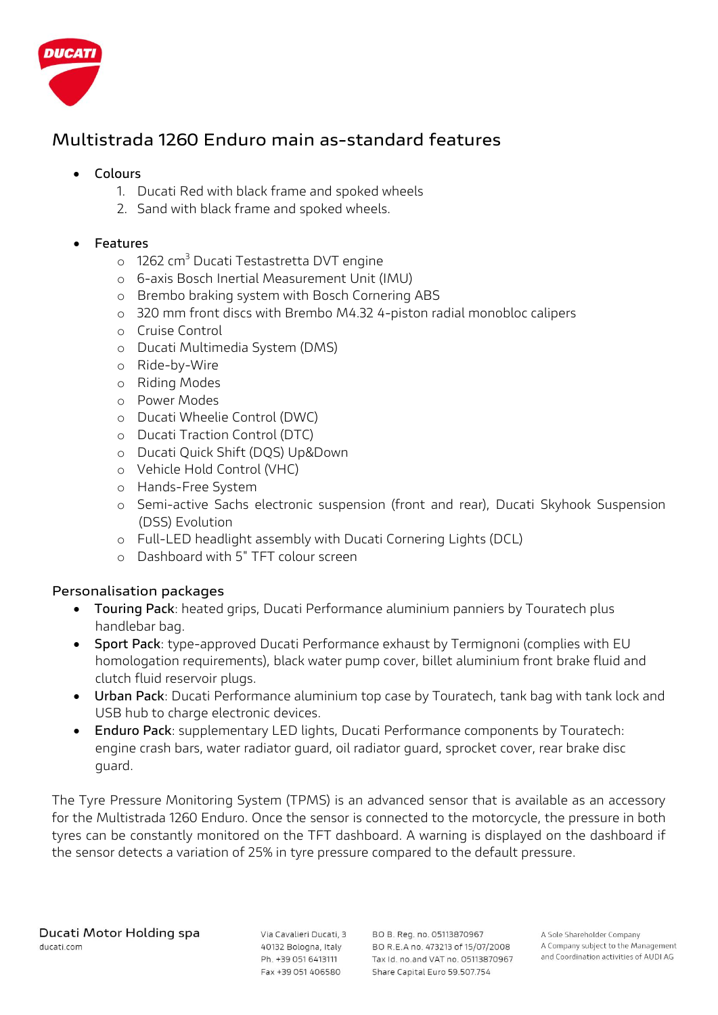

# **Multistrada 1260 Enduro main as-standard features**

#### **Colours**

- 1. Ducati Red with black frame and spoked wheels
- 2. Sand with black frame and spoked wheels.

#### **Features**

- o 1262 cm<sup>3</sup> Ducati Testastretta DVT engine
- o 6-axis Bosch Inertial Measurement Unit (IMU)
- o Brembo braking system with Bosch Cornering ABS
- o 320 mm front discs with Brembo M4.32 4-piston radial monobloc calipers
- o Cruise Control
- o Ducati Multimedia System (DMS)
- o Ride-by-Wire
- o Riding Modes
- o Power Modes
- o Ducati Wheelie Control (DWC)
- o Ducati Traction Control (DTC)
- o Ducati Quick Shift (DQS) Up&Down
- o Vehicle Hold Control (VHC)
- o Hands-Free System
- o Semi-active Sachs electronic suspension (front and rear), Ducati Skyhook Suspension (DSS) Evolution
- o Full-LED headlight assembly with Ducati Cornering Lights (DCL)
- o Dashboard with 5" TFT colour screen

#### **Personalisation packages**

- **Touring Pack**: heated grips, Ducati Performance aluminium panniers by Touratech plus handlebar bag.
- **Sport Pack**: type-approved Ducati Performance exhaust by Termignoni (complies with EU homologation requirements), black water pump cover, billet aluminium front brake fluid and clutch fluid reservoir plugs.
- **Urban Pack**: Ducati Performance aluminium top case by Touratech, tank bag with tank lock and USB hub to charge electronic devices.
- **Enduro Pack**: supplementary LED lights, Ducati Performance components by Touratech: engine crash bars, water radiator guard, oil radiator guard, sprocket cover, rear brake disc guard.

The Tyre Pressure Monitoring System (TPMS) is an advanced sensor that is available as an accessory for the Multistrada 1260 Enduro. Once the sensor is connected to the motorcycle, the pressure in both tyres can be constantly monitored on the TFT dashboard. A warning is displayed on the dashboard if the sensor detects a variation of 25% in tyre pressure compared to the default pressure.

Via Cavalieri Ducati, 3 40132 Bologna, Italy Ph. +39 051 6413111 Fax +39 051 406580

BO B, Reg. no. 05113870967 BO R.E.A no. 473213 of 15/07/2008 Tax Id. no.and VAT no. 05113870967 Share Capital Euro 59.507.754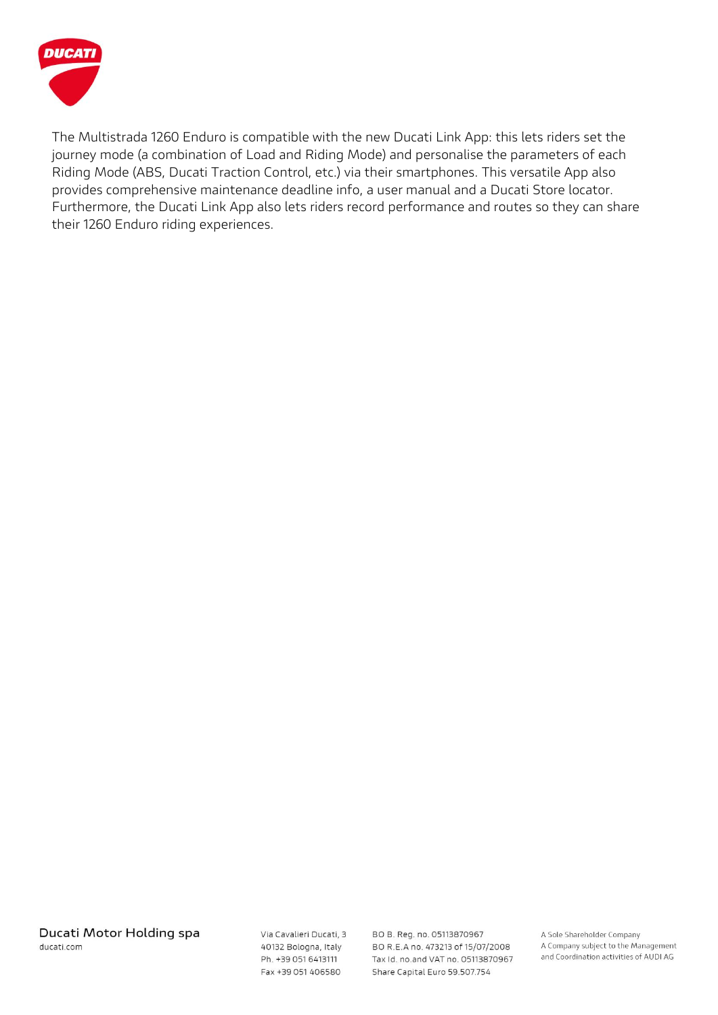

The Multistrada 1260 Enduro is compatible with the new Ducati Link App: this lets riders set the journey mode (a combination of Load and Riding Mode) and personalise the parameters of each Riding Mode (ABS, Ducati Traction Control, etc.) via their smartphones. This versatile App also provides comprehensive maintenance deadline info, a user manual and a Ducati Store locator. Furthermore, the Ducati Link App also lets riders record performance and routes so they can share their 1260 Enduro riding experiences.

Via Cavalieri Ducati, 3 40132 Bologna, Italy Ph. +39 051 6413111 Fax +39 051 406580

BO B. Reg. no. 05113870967 BO R.E.A no. 473213 of 15/07/2008 Tax Id. no.and VAT no. 05113870967 Share Capital Euro 59.507.754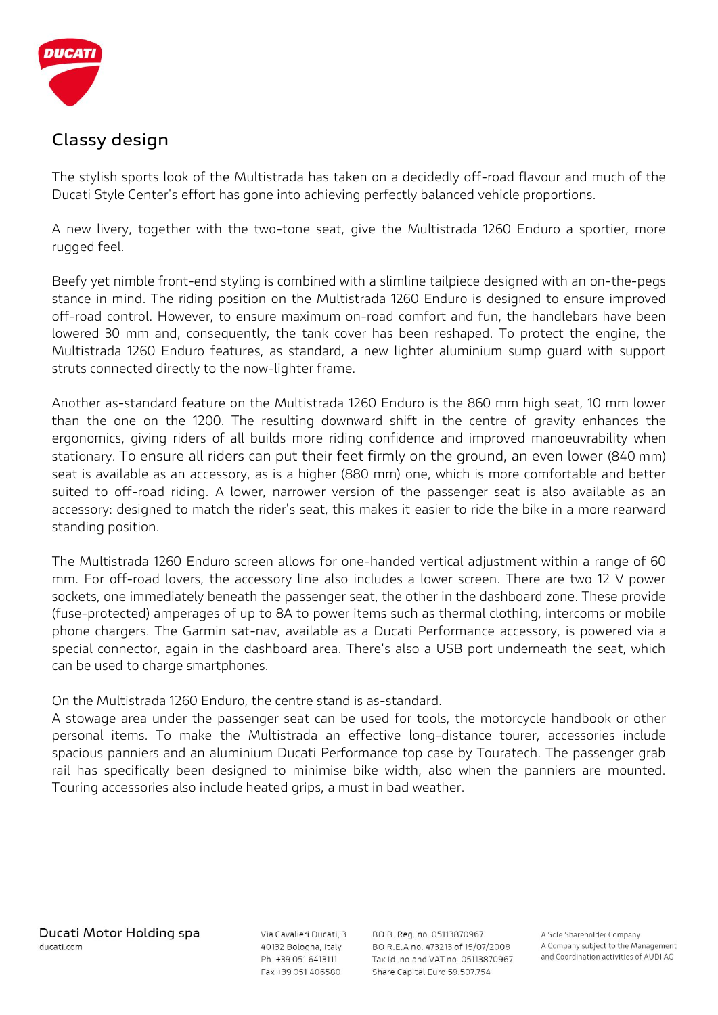

# **Classy design**

The stylish sports look of the Multistrada has taken on a decidedly off-road flavour and much of the Ducati Style Center's effort has gone into achieving perfectly balanced vehicle proportions.

A new livery, together with the two-tone seat, give the Multistrada 1260 Enduro a sportier, more rugged feel.

Beefy yet nimble front-end styling is combined with a slimline tailpiece designed with an on-the-pegs stance in mind. The riding position on the Multistrada 1260 Enduro is designed to ensure improved off-road control. However, to ensure maximum on-road comfort and fun, the handlebars have been lowered 30 mm and, consequently, the tank cover has been reshaped. To protect the engine, the Multistrada 1260 Enduro features, as standard, a new lighter aluminium sump guard with support struts connected directly to the now-lighter frame.

Another as-standard feature on the Multistrada 1260 Enduro is the 860 mm high seat, 10 mm lower than the one on the 1200. The resulting downward shift in the centre of gravity enhances the ergonomics, giving riders of all builds more riding confidence and improved manoeuvrability when stationary. To ensure all riders can put their feet firmly on the ground, an even lower (840 mm) seat is available as an accessory, as is a higher (880 mm) one, which is more comfortable and better suited to off-road riding. A lower, narrower version of the passenger seat is also available as an accessory: designed to match the rider's seat, this makes it easier to ride the bike in a more rearward standing position.

The Multistrada 1260 Enduro screen allows for one-handed vertical adjustment within a range of 60 mm. For off-road lovers, the accessory line also includes a lower screen. There are two 12 V power sockets, one immediately beneath the passenger seat, the other in the dashboard zone. These provide (fuse-protected) amperages of up to 8A to power items such as thermal clothing, intercoms or mobile phone chargers. The Garmin sat-nav, available as a Ducati Performance accessory, is powered via a special connector, again in the dashboard area. There's also a USB port underneath the seat, which can be used to charge smartphones.

On the Multistrada 1260 Enduro, the centre stand is as-standard.

A stowage area under the passenger seat can be used for tools, the motorcycle handbook or other personal items. To make the Multistrada an effective long-distance tourer, accessories include spacious panniers and an aluminium Ducati Performance top case by Touratech. The passenger grab rail has specifically been designed to minimise bike width, also when the panniers are mounted. Touring accessories also include heated grips, a must in bad weather.

Via Cavalieri Ducati, 3 40132 Bologna, Italy Ph. +39 051 6413111 Fax +39 051 406580

BO B. Reg. no. 05113870967 BO R.E.A no. 473213 of 15/07/2008 Tax Id. no.and VAT no. 05113870967 Share Capital Euro 59.507.754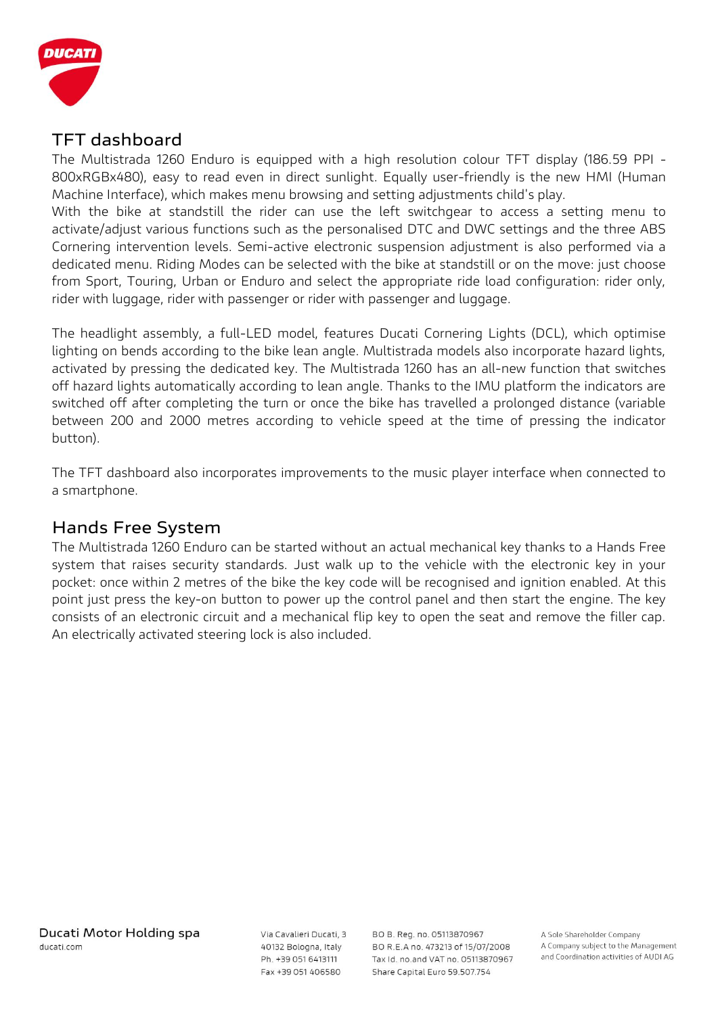

## **TFT dashboard**

The Multistrada 1260 Enduro is equipped with a high resolution colour TFT display (186.59 PPI - 800xRGBx480), easy to read even in direct sunlight. Equally user-friendly is the new HMI (Human Machine Interface), which makes menu browsing and setting adjustments child's play.

With the bike at standstill the rider can use the left switchgear to access a setting menu to activate/adjust various functions such as the personalised DTC and DWC settings and the three ABS Cornering intervention levels. Semi-active electronic suspension adjustment is also performed via a dedicated menu. Riding Modes can be selected with the bike at standstill or on the move: just choose from Sport, Touring, Urban or Enduro and select the appropriate ride load configuration: rider only, rider with luggage, rider with passenger or rider with passenger and luggage.

The headlight assembly, a full-LED model, features Ducati Cornering Lights (DCL), which optimise lighting on bends according to the bike lean angle. Multistrada models also incorporate hazard lights, activated by pressing the dedicated key. The Multistrada 1260 has an all-new function that switches off hazard lights automatically according to lean angle. Thanks to the IMU platform the indicators are switched off after completing the turn or once the bike has travelled a prolonged distance (variable between 200 and 2000 metres according to vehicle speed at the time of pressing the indicator button).

The TFT dashboard also incorporates improvements to the music player interface when connected to a smartphone.

### **Hands Free System**

The Multistrada 1260 Enduro can be started without an actual mechanical key thanks to a Hands Free system that raises security standards. Just walk up to the vehicle with the electronic key in your pocket: once within 2 metres of the bike the key code will be recognised and ignition enabled. At this point just press the key-on button to power up the control panel and then start the engine. The key consists of an electronic circuit and a mechanical flip key to open the seat and remove the filler cap. An electrically activated steering lock is also included.

Via Cavalieri Ducati, 3 40132 Bologna, Italy Ph. +39 051 6413111 Fax +39 051 406580

BO B. Reg. no. 05113870967 BO R.E.A no. 473213 of 15/07/2008 Tax Id. no.and VAT no. 05113870967 Share Capital Euro 59.507.754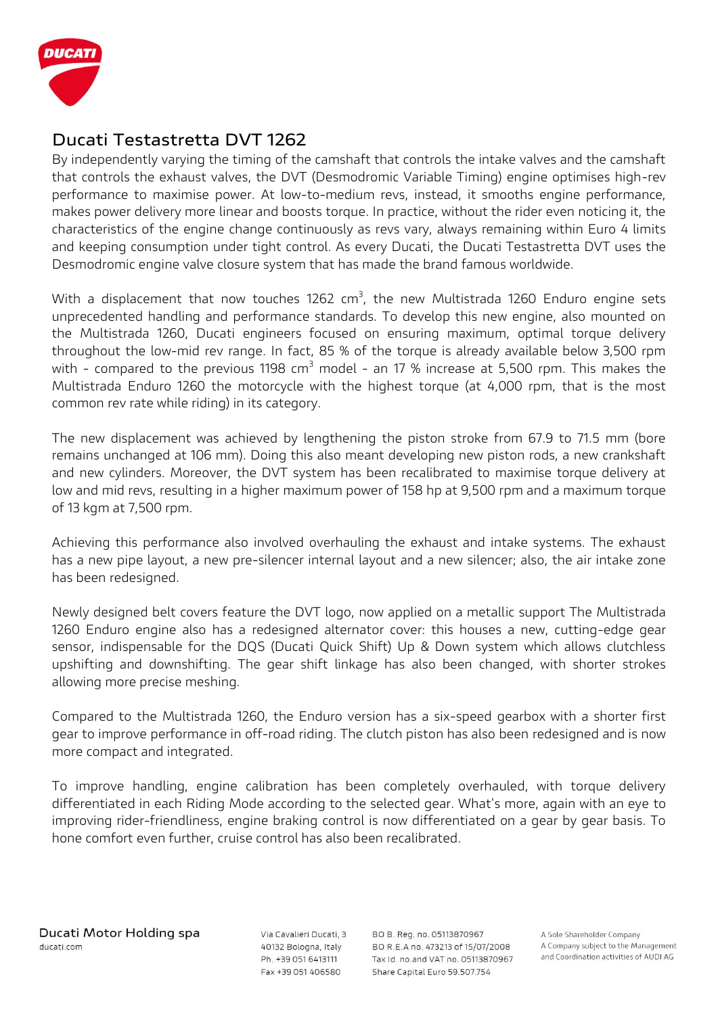

### **Ducati Testastretta DVT 1262**

By independently varying the timing of the camshaft that controls the intake valves and the camshaft that controls the exhaust valves, the DVT (Desmodromic Variable Timing) engine optimises high-rev performance to maximise power. At low-to-medium revs, instead, it smooths engine performance, makes power delivery more linear and boosts torque. In practice, without the rider even noticing it, the characteristics of the engine change continuously as revs vary, always remaining within Euro 4 limits and keeping consumption under tight control. As every Ducati, the Ducati Testastretta DVT uses the Desmodromic engine valve closure system that has made the brand famous worldwide.

With a displacement that now touches 1262 cm<sup>3</sup>, the new Multistrada 1260 Enduro engine sets unprecedented handling and performance standards. To develop this new engine, also mounted on the Multistrada 1260, Ducati engineers focused on ensuring maximum, optimal torque delivery throughout the low-mid rev range. In fact, 85 % of the torque is already available below 3,500 rpm with - compared to the previous 1198  $cm<sup>3</sup>$  model - an 17 % increase at 5,500 rpm. This makes the Multistrada Enduro 1260 the motorcycle with the highest torque (at 4,000 rpm, that is the most common rev rate while riding) in its category.

The new displacement was achieved by lengthening the piston stroke from 67.9 to 71.5 mm (bore remains unchanged at 106 mm). Doing this also meant developing new piston rods, a new crankshaft and new cylinders. Moreover, the DVT system has been recalibrated to maximise torque delivery at low and mid revs, resulting in a higher maximum power of 158 hp at 9,500 rpm and a maximum torque of 13 kgm at 7,500 rpm.

Achieving this performance also involved overhauling the exhaust and intake systems. The exhaust has a new pipe layout, a new pre-silencer internal layout and a new silencer; also, the air intake zone has been redesigned.

Newly designed belt covers feature the DVT logo, now applied on a metallic support The Multistrada 1260 Enduro engine also has a redesigned alternator cover: this houses a new, cutting-edge gear sensor, indispensable for the DQS (Ducati Quick Shift) Up & Down system which allows clutchless upshifting and downshifting. The gear shift linkage has also been changed, with shorter strokes allowing more precise meshing.

Compared to the Multistrada 1260, the Enduro version has a six-speed gearbox with a shorter first gear to improve performance in off-road riding. The clutch piston has also been redesigned and is now more compact and integrated.

To improve handling, engine calibration has been completely overhauled, with torque delivery differentiated in each Riding Mode according to the selected gear. What's more, again with an eye to improving rider-friendliness, engine braking control is now differentiated on a gear by gear basis. To hone comfort even further, cruise control has also been recalibrated.

Via Cavalieri Ducati, 3 40132 Bologna, Italy Ph. +39 051 6413111 Fax +39 051 406580

BO B. Reg. no. 05113870967 BO R.E.A no. 473213 of 15/07/2008 Tax Id. no.and VAT no. 05113870967 Share Capital Euro 59.507.754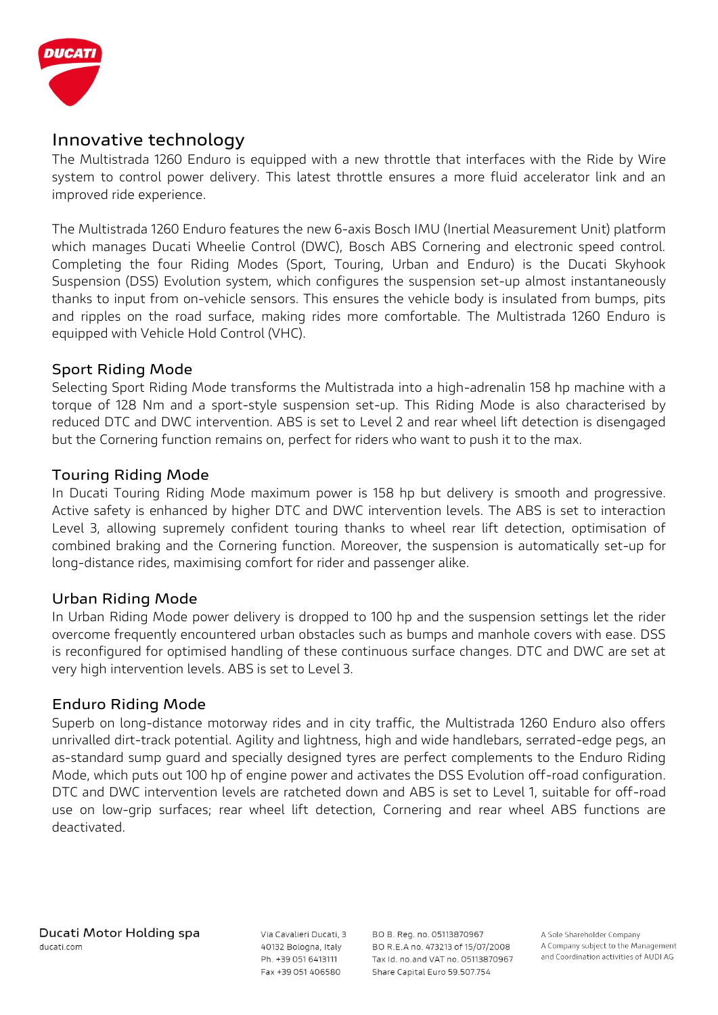

### **Innovative technology**

The Multistrada 1260 Enduro is equipped with a new throttle that interfaces with the Ride by Wire system to control power delivery. This latest throttle ensures a more fluid accelerator link and an improved ride experience.

The Multistrada 1260 Enduro features the new 6-axis Bosch IMU (Inertial Measurement Unit) platform which manages Ducati Wheelie Control (DWC), Bosch ABS Cornering and electronic speed control. Completing the four Riding Modes (Sport, Touring, Urban and Enduro) is the Ducati Skyhook Suspension (DSS) Evolution system, which configures the suspension set-up almost instantaneously thanks to input from on-vehicle sensors. This ensures the vehicle body is insulated from bumps, pits and ripples on the road surface, making rides more comfortable. The Multistrada 1260 Enduro is equipped with Vehicle Hold Control (VHC).

#### **Sport Riding Mode**

Selecting Sport Riding Mode transforms the Multistrada into a high-adrenalin 158 hp machine with a torque of 128 Nm and a sport-style suspension set-up. This Riding Mode is also characterised by reduced DTC and DWC intervention. ABS is set to Level 2 and rear wheel lift detection is disengaged but the Cornering function remains on, perfect for riders who want to push it to the max.

#### **Touring Riding Mode**

In Ducati Touring Riding Mode maximum power is 158 hp but delivery is smooth and progressive. Active safety is enhanced by higher DTC and DWC intervention levels. The ABS is set to interaction Level 3, allowing supremely confident touring thanks to wheel rear lift detection, optimisation of combined braking and the Cornering function. Moreover, the suspension is automatically set-up for long-distance rides, maximising comfort for rider and passenger alike.

#### **Urban Riding Mode**

In Urban Riding Mode power delivery is dropped to 100 hp and the suspension settings let the rider overcome frequently encountered urban obstacles such as bumps and manhole covers with ease. DSS is reconfigured for optimised handling of these continuous surface changes. DTC and DWC are set at very high intervention levels. ABS is set to Level 3.

#### **Enduro Riding Mode**

Superb on long-distance motorway rides and in city traffic, the Multistrada 1260 Enduro also offers unrivalled dirt-track potential. Agility and lightness, high and wide handlebars, serrated-edge pegs, an as-standard sump guard and specially designed tyres are perfect complements to the Enduro Riding Mode, which puts out 100 hp of engine power and activates the DSS Evolution off-road configuration. DTC and DWC intervention levels are ratcheted down and ABS is set to Level 1, suitable for off-road use on low-grip surfaces; rear wheel lift detection, Cornering and rear wheel ABS functions are deactivated.

Via Cavalieri Ducati, 3 40132 Bologna, Italy Ph. +39 051 6413111 Fax +39 051 406580

BO B. Reg. no. 05113870967 BO R.E.A no. 473213 of 15/07/2008 Tax Id. no.and VAT no. 05113870967 Share Capital Euro 59.507.754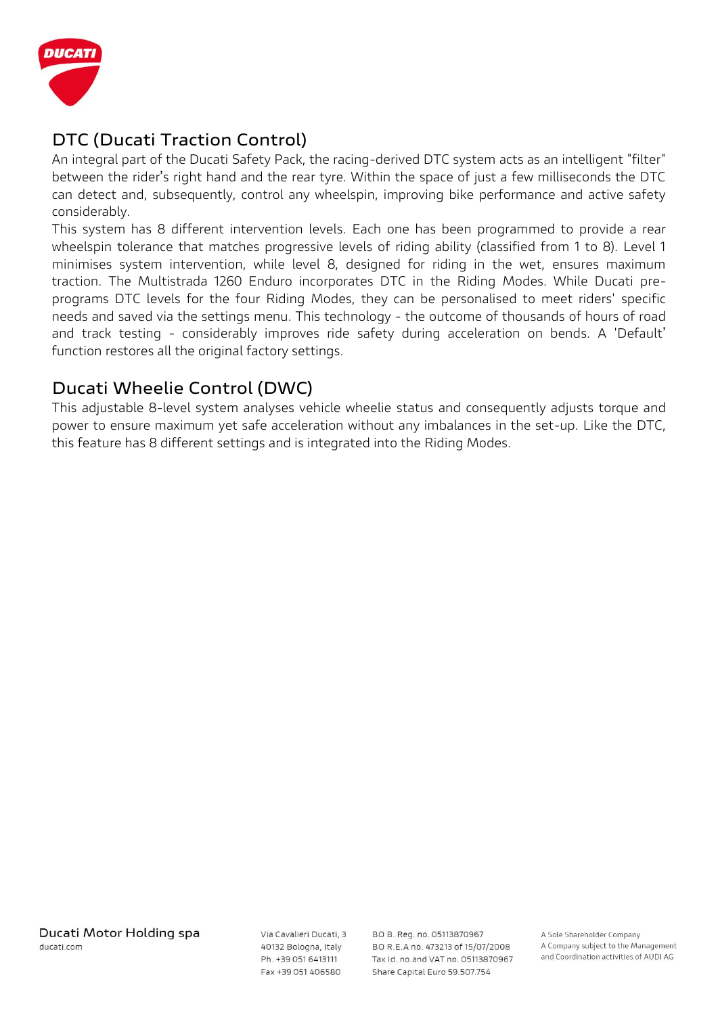

# **DTC (Ducati Traction Control)**

An integral part of the Ducati Safety Pack, the racing-derived DTC system acts as an intelligent "filter" between the rider's right hand and the rear tyre. Within the space of just a few milliseconds the DTC can detect and, subsequently, control any wheelspin, improving bike performance and active safety considerably.

This system has 8 different intervention levels. Each one has been programmed to provide a rear wheelspin tolerance that matches progressive levels of riding ability (classified from 1 to 8). Level 1 minimises system intervention, while level 8, designed for riding in the wet, ensures maximum traction. The Multistrada 1260 Enduro incorporates DTC in the Riding Modes. While Ducati preprograms DTC levels for the four Riding Modes, they can be personalised to meet riders' specific needs and saved via the settings menu. This technology - the outcome of thousands of hours of road and track testing - considerably improves ride safety during acceleration on bends. A 'Default' function restores all the original factory settings.

# **Ducati Wheelie Control (DWC)**

This adjustable 8-level system analyses vehicle wheelie status and consequently adjusts torque and power to ensure maximum yet safe acceleration without any imbalances in the set-up. Like the DTC, this feature has 8 different settings and is integrated into the Riding Modes.

Via Cavalieri Ducati, 3 40132 Bologna, Italy Ph. +39 051 6413111 Fax +39 051 406580

BO B. Reg. no. 05113870967 BO R.E.A no. 473213 of 15/07/2008 Tax Id. no.and VAT no. 05113870967 Share Capital Euro 59.507.754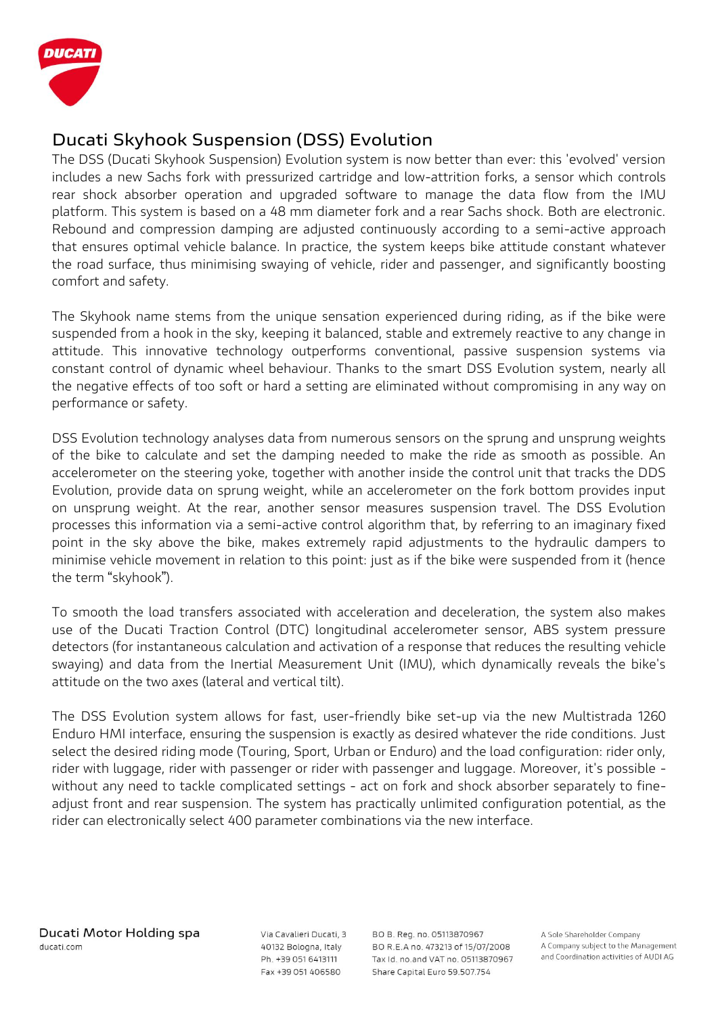

# **Ducati Skyhook Suspension (DSS) Evolution**

The DSS (Ducati Skyhook Suspension) Evolution system is now better than ever: this 'evolved' version includes a new Sachs fork with pressurized cartridge and low-attrition forks, a sensor which controls rear shock absorber operation and upgraded software to manage the data flow from the IMU platform. This system is based on a 48 mm diameter fork and a rear Sachs shock. Both are electronic. Rebound and compression damping are adjusted continuously according to a semi-active approach that ensures optimal vehicle balance. In practice, the system keeps bike attitude constant whatever the road surface, thus minimising swaying of vehicle, rider and passenger, and significantly boosting comfort and safety.

The Skyhook name stems from the unique sensation experienced during riding, as if the bike were suspended from a hook in the sky, keeping it balanced, stable and extremely reactive to any change in attitude. This innovative technology outperforms conventional, passive suspension systems via constant control of dynamic wheel behaviour. Thanks to the smart DSS Evolution system, nearly all the negative effects of too soft or hard a setting are eliminated without compromising in any way on performance or safety.

DSS Evolution technology analyses data from numerous sensors on the sprung and unsprung weights of the bike to calculate and set the damping needed to make the ride as smooth as possible. An accelerometer on the steering yoke, together with another inside the control unit that tracks the DDS Evolution, provide data on sprung weight, while an accelerometer on the fork bottom provides input on unsprung weight. At the rear, another sensor measures suspension travel. The DSS Evolution processes this information via a semi-active control algorithm that, by referring to an imaginary fixed point in the sky above the bike, makes extremely rapid adjustments to the hydraulic dampers to minimise vehicle movement in relation to this point: just as if the bike were suspended from it (hence the term "skyhook").

To smooth the load transfers associated with acceleration and deceleration, the system also makes use of the Ducati Traction Control (DTC) longitudinal accelerometer sensor, ABS system pressure detectors (for instantaneous calculation and activation of a response that reduces the resulting vehicle swaying) and data from the Inertial Measurement Unit (IMU), which dynamically reveals the bike's attitude on the two axes (lateral and vertical tilt).

The DSS Evolution system allows for fast, user-friendly bike set-up via the new Multistrada 1260 Enduro HMI interface, ensuring the suspension is exactly as desired whatever the ride conditions. Just select the desired riding mode (Touring, Sport, Urban or Enduro) and the load configuration: rider only, rider with luggage, rider with passenger or rider with passenger and luggage. Moreover, it's possible without any need to tackle complicated settings - act on fork and shock absorber separately to fineadjust front and rear suspension. The system has practically unlimited configuration potential, as the rider can electronically select 400 parameter combinations via the new interface.

Via Cavalieri Ducati, 3 40132 Bologna, Italy Ph. +39 051 6413111 Fax +39 051 406580

BO B. Reg. no. 05113870967 BO R.E.A no. 473213 of 15/07/2008 Tax Id. no.and VAT no. 05113870967 Share Capital Euro 59.507.754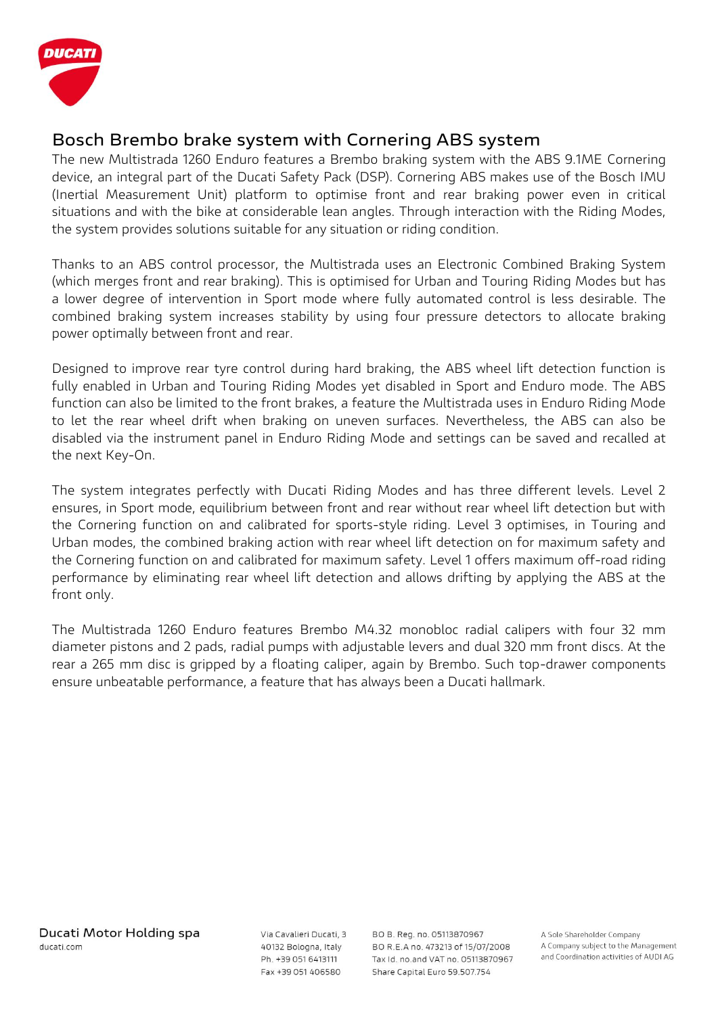

## **Bosch Brembo brake system with Cornering ABS system**

The new Multistrada 1260 Enduro features a Brembo braking system with the ABS 9.1ME Cornering device, an integral part of the Ducati Safety Pack (DSP). Cornering ABS makes use of the Bosch IMU (Inertial Measurement Unit) platform to optimise front and rear braking power even in critical situations and with the bike at considerable lean angles. Through interaction with the Riding Modes, the system provides solutions suitable for any situation or riding condition.

Thanks to an ABS control processor, the Multistrada uses an Electronic Combined Braking System (which merges front and rear braking). This is optimised for Urban and Touring Riding Modes but has a lower degree of intervention in Sport mode where fully automated control is less desirable. The combined braking system increases stability by using four pressure detectors to allocate braking power optimally between front and rear.

Designed to improve rear tyre control during hard braking, the ABS wheel lift detection function is fully enabled in Urban and Touring Riding Modes yet disabled in Sport and Enduro mode. The ABS function can also be limited to the front brakes, a feature the Multistrada uses in Enduro Riding Mode to let the rear wheel drift when braking on uneven surfaces. Nevertheless, the ABS can also be disabled via the instrument panel in Enduro Riding Mode and settings can be saved and recalled at the next Key-On.

The system integrates perfectly with Ducati Riding Modes and has three different levels. Level 2 ensures, in Sport mode, equilibrium between front and rear without rear wheel lift detection but with the Cornering function on and calibrated for sports-style riding. Level 3 optimises, in Touring and Urban modes, the combined braking action with rear wheel lift detection on for maximum safety and the Cornering function on and calibrated for maximum safety. Level 1 offers maximum off-road riding performance by eliminating rear wheel lift detection and allows drifting by applying the ABS at the front only.

The Multistrada 1260 Enduro features Brembo M4.32 monobloc radial calipers with four 32 mm diameter pistons and 2 pads, radial pumps with adjustable levers and dual 320 mm front discs. At the rear a 265 mm disc is gripped by a floating caliper, again by Brembo. Such top-drawer components ensure unbeatable performance, a feature that has always been a Ducati hallmark.

Via Cavalieri Ducati, 3 40132 Bologna, Italy Ph. +39 051 6413111 Fax +39 051 406580

BO B. Reg. no. 05113870967 BO R.E.A no. 473213 of 15/07/2008 Tax Id. no.and VAT no. 05113870967 Share Capital Euro 59.507.754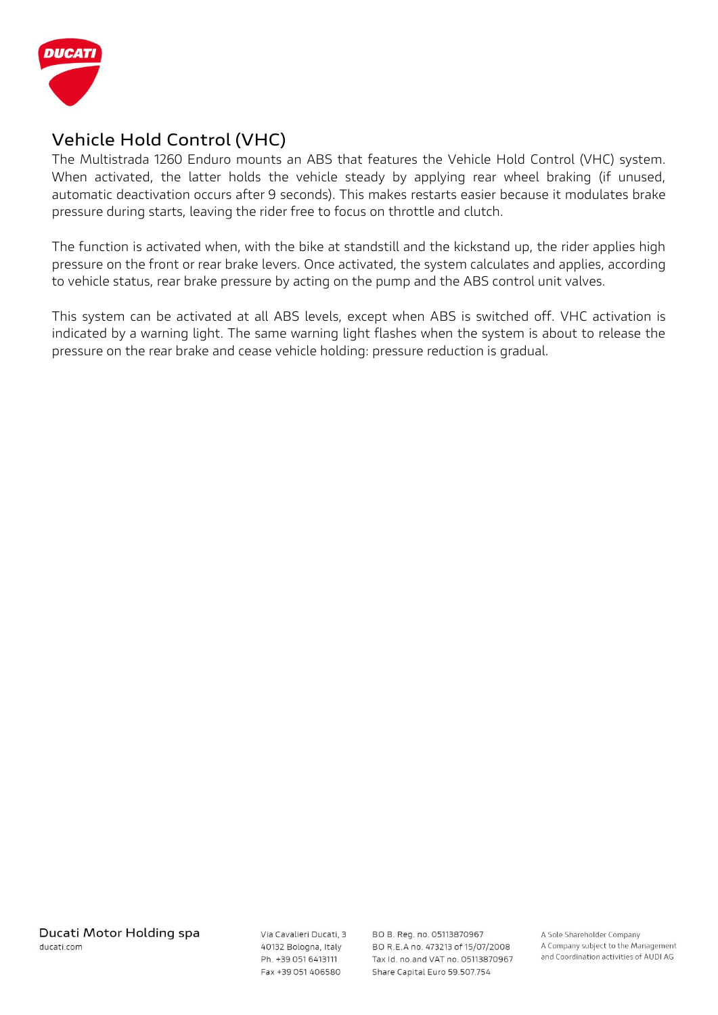

## **Vehicle Hold Control (VHC)**

The Multistrada 1260 Enduro mounts an ABS that features the Vehicle Hold Control (VHC) system. When activated, the latter holds the vehicle steady by applying rear wheel braking (if unused, automatic deactivation occurs after 9 seconds). This makes restarts easier because it modulates brake pressure during starts, leaving the rider free to focus on throttle and clutch.

The function is activated when, with the bike at standstill and the kickstand up, the rider applies high pressure on the front or rear brake levers. Once activated, the system calculates and applies, according to vehicle status, rear brake pressure by acting on the pump and the ABS control unit valves.

This system can be activated at all ABS levels, except when ABS is switched off. VHC activation is indicated by a warning light. The same warning light flashes when the system is about to release the pressure on the rear brake and cease vehicle holding: pressure reduction is gradual.

Via Cavalieri Ducati, 3 40132 Bologna, Italy Ph. +39 051 6413111 Fax +39 051 406580

BO B. Reg. no. 05113870967 BO R.E.A no. 473213 of 15/07/2008 Tax Id. no.and VAT no. 05113870967 Share Capital Euro 59.507.754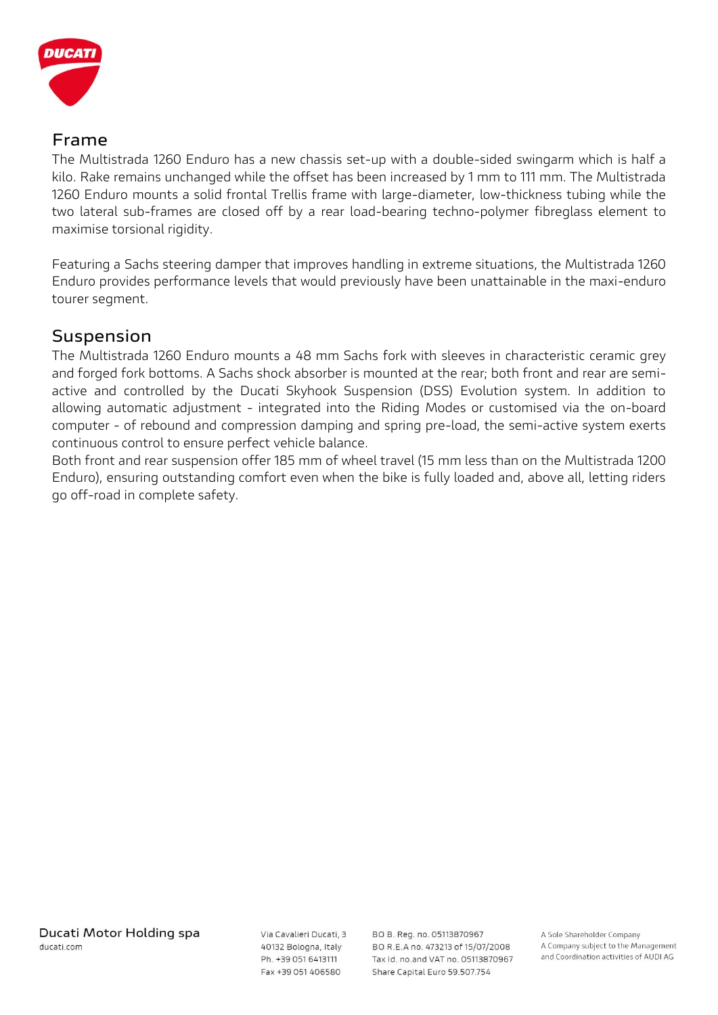

### **Frame**

The Multistrada 1260 Enduro has a new chassis set-up with a double-sided swingarm which is half a kilo. Rake remains unchanged while the offset has been increased by 1 mm to 111 mm. The Multistrada 1260 Enduro mounts a solid frontal Trellis frame with large-diameter, low-thickness tubing while the two lateral sub-frames are closed off by a rear load-bearing techno-polymer fibreglass element to maximise torsional rigidity.

Featuring a Sachs steering damper that improves handling in extreme situations, the Multistrada 1260 Enduro provides performance levels that would previously have been unattainable in the maxi-enduro tourer segment.

### **Suspension**

The Multistrada 1260 Enduro mounts a 48 mm Sachs fork with sleeves in characteristic ceramic grey and forged fork bottoms. A Sachs shock absorber is mounted at the rear; both front and rear are semiactive and controlled by the Ducati Skyhook Suspension (DSS) Evolution system. In addition to allowing automatic adjustment - integrated into the Riding Modes or customised via the on-board computer - of rebound and compression damping and spring pre-load, the semi-active system exerts continuous control to ensure perfect vehicle balance.

Both front and rear suspension offer 185 mm of wheel travel (15 mm less than on the Multistrada 1200 Enduro), ensuring outstanding comfort even when the bike is fully loaded and, above all, letting riders go off-road in complete safety.

Via Cavalieri Ducati, 3 40132 Bologna, Italy Ph. +39 051 6413111 Fax +39 051 406580

BO B. Reg. no. 05113870967 BO R.E.A no. 473213 of 15/07/2008 Tax Id. no.and VAT no. 05113870967 Share Capital Euro 59.507.754